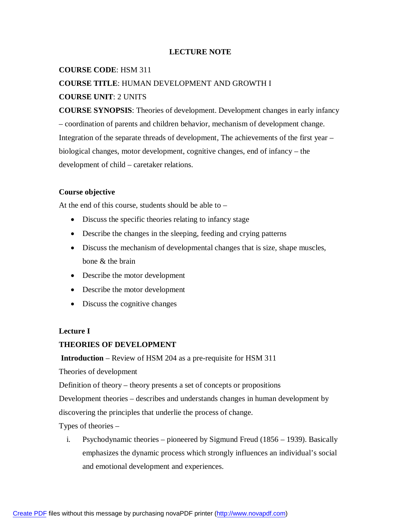### **LECTURE NOTE**

### **COURSE CODE**: HSM 311

### **COURSE TITLE**: HUMAN DEVELOPMENT AND GROWTH I

### **COURSE UNIT**: 2 UNITS

**COURSE SYNOPSIS**: Theories of development. Development changes in early infancy – coordination of parents and children behavior, mechanism of development change. Integration of the separate threads of development, The achievements of the first year – biological changes, motor development, cognitive changes, end of infancy – the development of child – caretaker relations.

#### **Course objective**

At the end of this course, students should be able to –

- Discuss the specific theories relating to infancy stage
- Describe the changes in the sleeping, feeding and crying patterns
- Discuss the mechanism of developmental changes that is size, shape muscles, bone & the brain
- Describe the motor development
- Describe the motor development
- Discuss the cognitive changes

#### **Lecture I**

#### **THEORIES OF DEVELOPMENT**

**Introduction** – Review of HSM 204 as a pre-requisite for HSM 311

Theories of development

Definition of theory – theory presents a set of concepts or propositions

Development theories – describes and understands changes in human development by

discovering the principles that underlie the process of change.

Types of theories –

i. Psychodynamic theories – pioneered by Sigmund Freud (1856 – 1939). Basically emphasizes the dynamic process which strongly influences an individual's social and emotional development and experiences.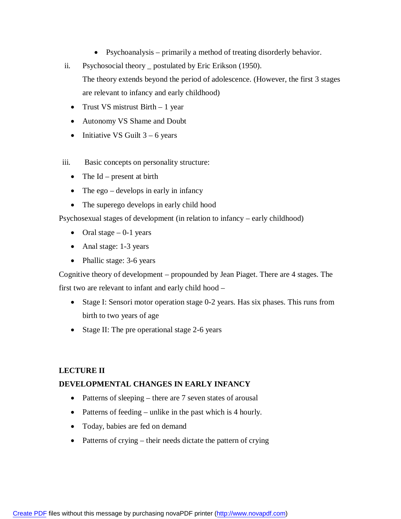- Psychoanalysis primarily a method of treating disorderly behavior.
- ii. Psychosocial theory \_ postulated by Eric Erikson (1950). The theory extends beyond the period of adolescence. (However, the first 3 stages

• Trust VS mistrust Birth – 1 year

are relevant to infancy and early childhood)

- Autonomy VS Shame and Doubt
- Initiative VS Guilt  $3 6$  years
- iii. Basic concepts on personality structure:
	- The  $Id$  present at birth
	- The ego develops in early in infancy
	- The superego develops in early child hood

Psychosexual stages of development (in relation to infancy – early childhood)

- Oral stage  $-0$ -1 years
- Anal stage: 1-3 years
- Phallic stage: 3-6 years

Cognitive theory of development – propounded by Jean Piaget. There are 4 stages. The first two are relevant to infant and early child hood –

- Stage I: Sensori motor operation stage 0-2 years. Has six phases. This runs from birth to two years of age
- Stage II: The pre operational stage 2-6 years

#### **LECTURE II**

#### **DEVELOPMENTAL CHANGES IN EARLY INFANCY**

- Patterns of sleeping there are 7 seven states of arousal
- Patterns of feeding unlike in the past which is 4 hourly.
- Today, babies are fed on demand
- Patterns of crying their needs dictate the pattern of crying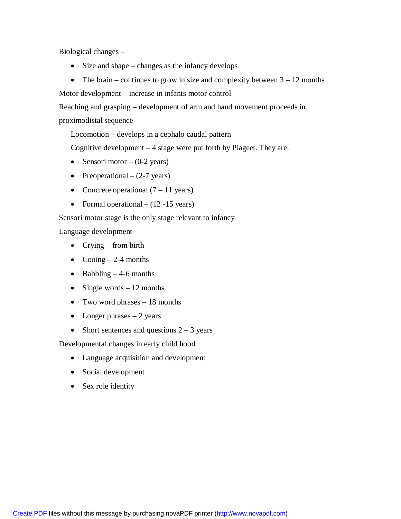Biological changes –

- $\bullet$  Size and shape changes as the infancy develops
- The brain continues to grow in size and complexity between  $3 12$  months

Motor development – increase in infants motor control

Reaching and grasping – development of arm and hand movement proceeds in

proximodistal sequence

Locomotion – develops in a cephalo caudal pattern

Cognitive development – 4 stage were put forth by Piageet. They are:

- Sensori motor  $(0-2 \text{ years})$
- Preoperational  $(2-7 \text{ years})$
- Concrete operational  $(7 11 \text{ years})$
- Formal operational  $(12 -15 \text{ years})$

Sensori motor stage is the only stage relevant to infancy

Language development

- Crying from birth
- Cooing  $-2-4$  months
- $\bullet$  Babbling  $-4$ -6 months
- Single words  $-12$  months
- Two word phrases 18 months
- Longer phrases  $-2$  years
- Short sentences and questions  $2 3$  years

Developmental changes in early child hood

- Language acquisition and development
- Social development
- Sex role identity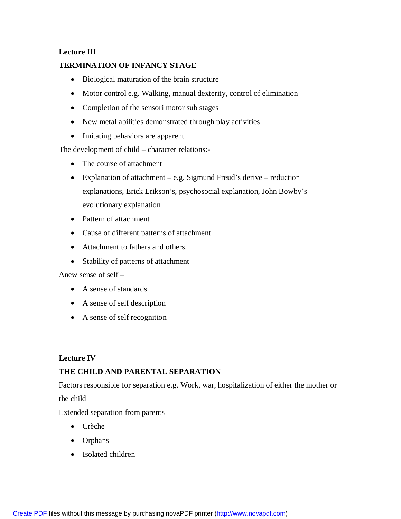# **Lecture III**

## **TERMINATION OF INFANCY STAGE**

- Biological maturation of the brain structure
- Motor control e.g. Walking, manual dexterity, control of elimination
- Completion of the sensori motor sub stages
- New metal abilities demonstrated through play activities
- Imitating behaviors are apparent

The development of child – character relations:-

- The course of attachment
- Explanation of attachment e.g. Sigmund Freud's derive reduction explanations, Erick Erikson's, psychosocial explanation, John Bowby's evolutionary explanation
- Pattern of attachment
- Cause of different patterns of attachment
- Attachment to fathers and others.
- Stability of patterns of attachment

Anew sense of self –

- A sense of standards
- A sense of self description
- A sense of self recognition

## **Lecture IV**

## **THE CHILD AND PARENTAL SEPARATION**

Factors responsible for separation e.g. Work, war, hospitalization of either the mother or the child

Extended separation from parents

- Crèche
- Orphans
- Isolated children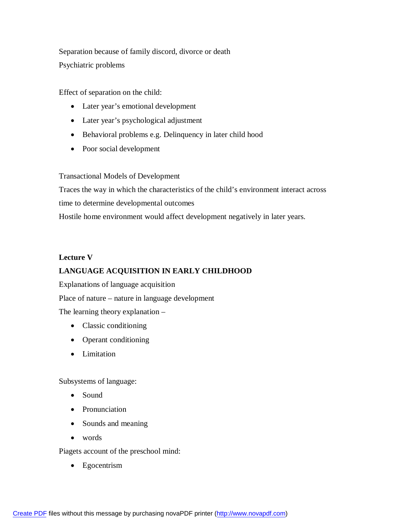Separation because of family discord, divorce or death Psychiatric problems

Effect of separation on the child:

- Later year's emotional development
- Later year's psychological adjustment
- Behavioral problems e.g. Delinquency in later child hood
- Poor social development

Transactional Models of Development

Traces the way in which the characteristics of the child's environment interact across time to determine developmental outcomes

Hostile home environment would affect development negatively in later years.

# **Lecture V**

# **LANGUAGE ACQUISITION IN EARLY CHILDHOOD**

Explanations of language acquisition

Place of nature – nature in language development

The learning theory explanation –

- Classic conditioning
- Operant conditioning
- Limitation

Subsystems of language:

- Sound
- Pronunciation
- Sounds and meaning
- words

Piagets account of the preschool mind:

• Egocentrism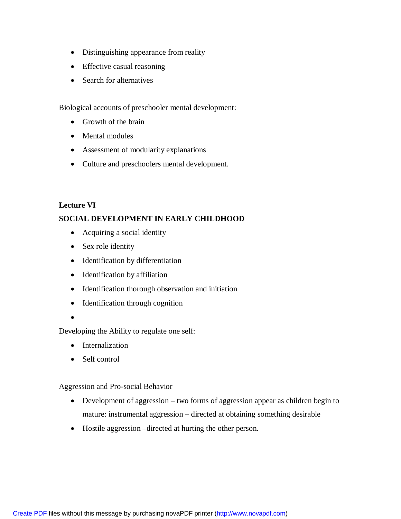- Distinguishing appearance from reality
- Effective casual reasoning
- Search for alternatives

Biological accounts of preschooler mental development:

- Growth of the brain
- Mental modules
- Assessment of modularity explanations
- Culture and preschoolers mental development.

## **Lecture VI**

# **SOCIAL DEVELOPMENT IN EARLY CHILDHOOD**

- Acquiring a social identity
- Sex role identity
- Identification by differentiation
- Identification by affiliation
- Identification thorough observation and initiation
- Identification through cognition
- $\bullet$

Developing the Ability to regulate one self:

- Internalization
- Self control

Aggression and Pro-social Behavior

- Development of aggression two forms of aggression appear as children begin to mature: instrumental aggression – directed at obtaining something desirable
- Hostile aggression –directed at hurting the other person.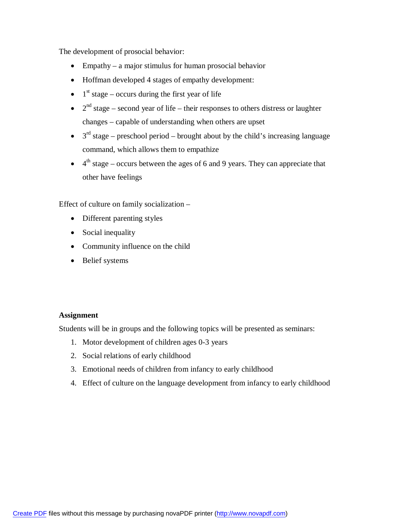The development of prosocial behavior:

- Empathy a major stimulus for human prosocial behavior
- Hoffman developed 4 stages of empathy development:
- $\bullet$  1<sup>st</sup> stage occurs during the first year of life
- $\bullet$   $2<sup>nd</sup>$  stage second year of life their responses to others distress or laughter changes – capable of understanding when others are upset
- $\bullet$  3<sup>rd</sup> stage preschool period brought about by the child's increasing language command, which allows them to empathize
- $\bullet$  4<sup>th</sup> stage occurs between the ages of 6 and 9 years. They can appreciate that other have feelings

Effect of culture on family socialization –

- Different parenting styles
- Social inequality
- Community influence on the child
- Belief systems

#### **Assignment**

Students will be in groups and the following topics will be presented as seminars:

- 1. Motor development of children ages 0-3 years
- 2. Social relations of early childhood
- 3. Emotional needs of children from infancy to early childhood
- 4. Effect of culture on the language development from infancy to early childhood